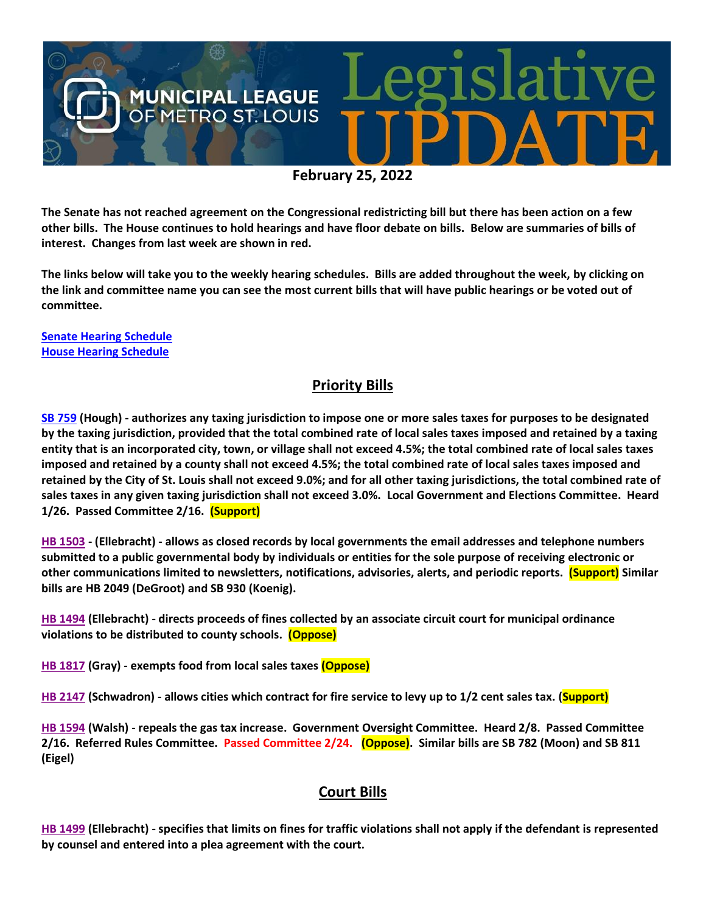

**The Senate has not reached agreement on the Congressional redistricting bill but there has been action on a few other bills. The House continues to hold hearings and have floor debate on bills. Below are summaries of bills of interest. Changes from last week are shown in red.**

**The links below will take you to the weekly hearing schedules. Bills are added throughout the week, by clicking on the link and committee name you can see the most current bills that will have public hearings or be voted out of committee.**

**[Senate Hearing Schedule](https://www.senate.mo.gov/hearingsschedule/hrings.htm) [House Hearing Schedule](https://www.house.mo.gov/AllHearings.aspx?sdid=01182022)** 

## **Priority Bills**

**[SB 759](https://www.senate.mo.gov/22info/BTS_Web/Bill.aspx?SessionType=R&BillID=71259645) (Hough) - authorizes any taxing jurisdiction to impose one or more sales taxes for purposes to be designated by the taxing jurisdiction, provided that the total combined rate of local sales taxes imposed and retained by a taxing entity that is an incorporated city, town, or village shall not exceed 4.5%; the total combined rate of local sales taxes imposed and retained by a county shall not exceed 4.5%; the total combined rate of local sales taxes imposed and retained by the City of St. Louis shall not exceed 9.0%; and for all other taxing jurisdictions, the total combined rate of sales taxes in any given taxing jurisdiction shall not exceed 3.0%. Local Government and Elections Committee. Heard 1/26. Passed Committee 2/16. (Support)**

**[HB 1503](https://house.mo.gov/Bill.aspx?bill=HB1503&year=2022&code=R) - (Ellebracht) - allows as closed records by local governments the email addresses and telephone numbers submitted to a public governmental body by individuals or entities for the sole purpose of receiving electronic or other communications limited to newsletters, notifications, advisories, alerts, and periodic reports. (Support) Similar bills are HB 2049 (DeGroot) and SB 930 (Koenig).**

**[HB 1494](https://house.mo.gov/Bill.aspx?bill=HB1494&year=2022&code=R) (Ellebracht) - directs proceeds of fines collected by an associate circuit court for municipal ordinance violations to be distributed to county schools. (Oppose)**

**[HB 1817](https://house.mo.gov/Bill.aspx?bill=HB1817&year=2022&code=R) (Gray) - exempts food from local sales taxes (Oppose)**

**[HB 2147](https://house.mo.gov/Bill.aspx?bill=HB2147&year=2022&code=R) (Schwadron) - allows cities which contract for fire service to levy up to 1/2 cent sales tax. (Support)**

**[HB 1594](https://house.mo.gov/Bill.aspx?bill=HB1594&year=2022&code=R) (Walsh) - repeals the gas tax increase. Government Oversight Committee. Heard 2/8. Passed Committee 2/16. Referred Rules Committee. Passed Committee 2/24. (Oppose). Similar bills are SB 782 (Moon) and SB 811 (Eigel)**

### **Court Bills**

**[HB 1499](https://house.mo.gov/Bill.aspx?bill=HB1499&year=2022&code=R) (Ellebracht) - specifies that limits on fines for traffic violations shall not apply if the defendant is represented by counsel and entered into a plea agreement with the court.**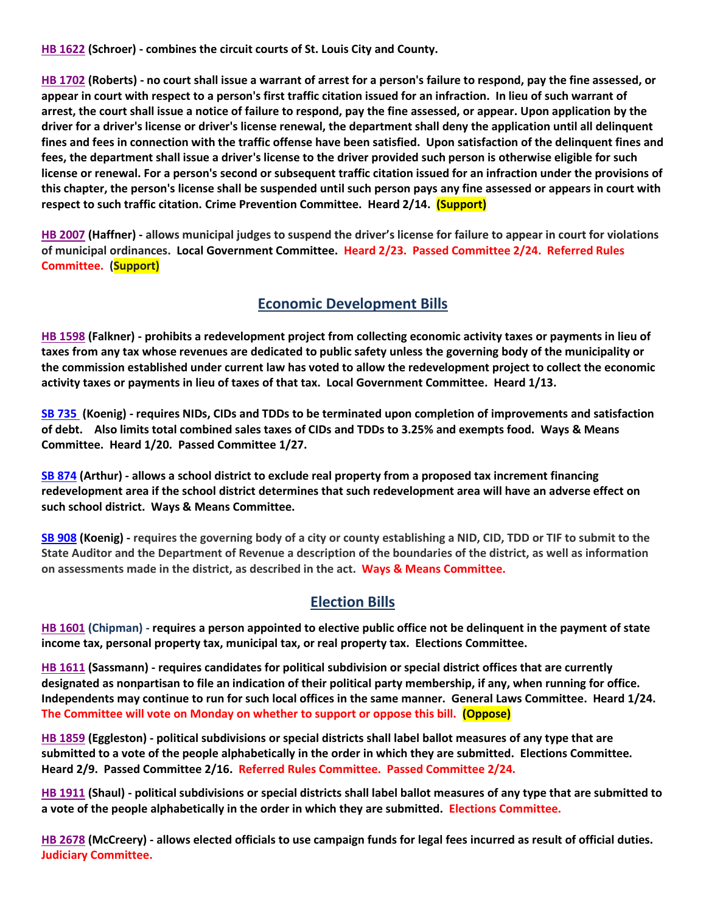**[HB 1622](https://house.mo.gov/Bill.aspx?bill=HB1622&year=2022&code=R) (Schroer) - combines the circuit courts of St. Louis City and County.**

**[HB 1702](https://house.mo.gov/Bill.aspx?bill=HB1702&year=2022&code=R) (Roberts) - no court shall issue a warrant of arrest for a person's failure to respond, pay the fine assessed, or appear in court with respect to a person's first traffic citation issued for an infraction. In lieu of such warrant of arrest, the court shall issue a notice of failure to respond, pay the fine assessed, or appear. Upon application by the driver for a driver's license or driver's license renewal, the department shall deny the application until all delinquent fines and fees in connection with the traffic offense have been satisfied. Upon satisfaction of the delinquent fines and fees, the department shall issue a driver's license to the driver provided such person is otherwise eligible for such license or renewal. For a person's second or subsequent traffic citation issued for an infraction under the provisions of this chapter, the person's license shall be suspended until such person pays any fine assessed or appears in court with respect to such traffic citation. Crime Prevention Committee. Heard 2/14. (Support)** 

**[HB 2007](https://house.mo.gov/Bill.aspx?bill=HB2007&year=2022&code=R) (Haffner) - allows municipal judges to suspend the driver's license for failure to appear in court for violations of municipal ordinances. Local Government Committee. Heard 2/23. Passed Committee 2/24. Referred Rules Committee. (Support)**

### **Economic Development Bills**

**[HB 1598](https://house.mo.gov/Bill.aspx?bill=HB1598&year=2022&code=R) (Falkner) - prohibits a redevelopment project from collecting economic activity taxes or payments in lieu of taxes from any tax whose revenues are dedicated to public safety unless the governing body of the municipality or the commission established under current law has voted to allow the redevelopment project to collect the economic activity taxes or payments in lieu of taxes of that tax. Local Government Committee. Heard 1/13.**

**[SB 735](https://www.senate.mo.gov/22info/BTS_Web/Bill.aspx?SessionType=R&BillID=71259902%20%20) (Koenig) - requires NIDs, CIDs and TDDs to be terminated upon completion of improvements and satisfaction of debt. Also limits total combined sales taxes of CIDs and TDDs to 3.25% and exempts food. Ways & Means Committee. Heard 1/20. Passed Committee 1/27.**

**[SB 874](https://www.senate.mo.gov/22info/BTS_Web/Bill.aspx?SessionType=R&BillID=71259609) (Arthur) - allows a school district to exclude real property from a proposed tax increment financing redevelopment area if the school district determines that such redevelopment area will have an adverse effect on such school district. Ways & Means Committee.**

**[SB 908](https://www.senate.mo.gov/22info/BTS_Web/Bill.aspx?SessionType=R&BillID=71259913) (Koenig) - requires the governing body of a city or county establishing a NID, CID, TDD or TIF to submit to the State Auditor and the Department of Revenue a description of the boundaries of the district, as well as information on assessments made in the district, as described in the act. Ways & Means Committee.**

#### **Election Bills**

**[HB 1601](https://house.mo.gov/Bill.aspx?bill=HB1601&year=2022&code=R) (Chipman) - requires a person appointed to elective public office not be delinquent in the payment of state income tax, personal property tax, municipal tax, or real property tax. Elections Committee.**

**HB [1611](https://house.mo.gov/Bill.aspx?bill=HB1611&year=2022&code=R) (Sassmann) - requires candidates for political subdivision or special district offices that are currently designated as nonpartisan to file an indication of their political party membership, if any, when running for office. Independents may continue to run for such local offices in the same manner. General Laws Committee. Heard 1/24. The Committee will vote on Monday on whether to support or oppose this bill. (Oppose)**

**[HB 1859](https://house.mo.gov/Bill.aspx?bill=HB1859&year=2022&code=R) (Eggleston) - political subdivisions or special districts shall label ballot measures of any type that are submitted to a vote of the people alphabetically in the order in which they are submitted. Elections Committee. Heard 2/9. Passed Committee 2/16. Referred Rules Committee. Passed Committee 2/24.**

**[HB 1911](https://house.mo.gov/Bill.aspx?bill=HB1911&year=2022&code=R) (Shaul) - political subdivisions or special districts shall label ballot measures of any type that are submitted to a vote of the people alphabetically in the order in which they are submitted. Elections Committee.**

**[HB 2678](https://www.house.mo.gov/Bill.aspx?bill=HB2678&year=2022&code=R) (McCreery) - allows elected officials to use campaign funds for legal fees incurred as result of official duties. Judiciary Committee.**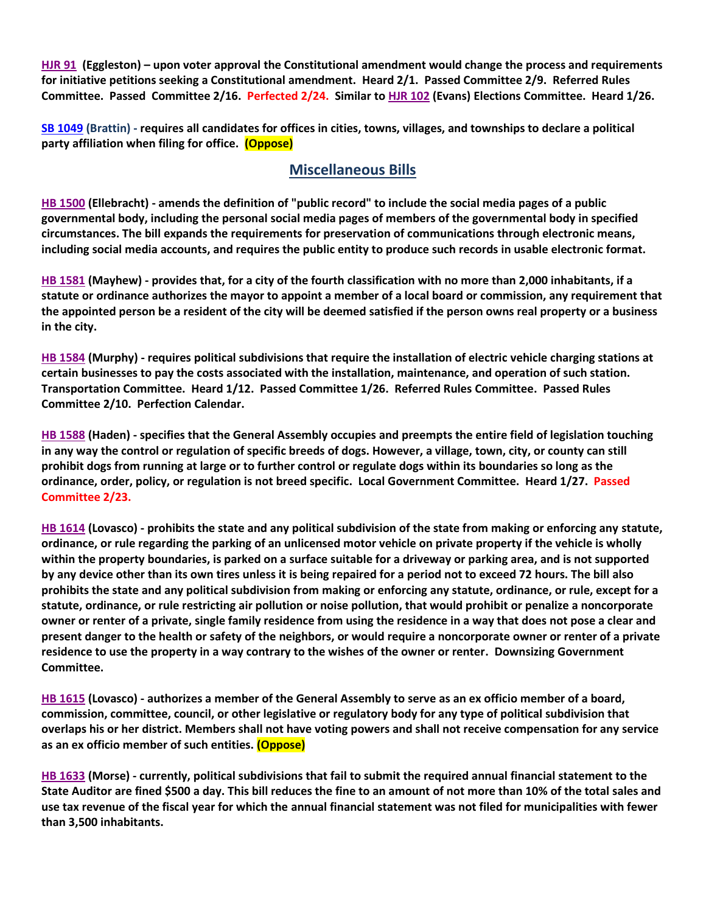**[HJR 91](https://www.house.mo.gov/Bill.aspx?bill=HJR91&year=2022&code=R) [\(Eggleston\)](https://www.house.mo.gov/MemberDetails.aspx?year=2022&district=2) – upon voter approval the Constitutional amendment would change the process and requirements for initiative petitions seeking a Constitutional amendment. Heard 2/1. Passed Committee 2/9. Referred Rules Committee. Passed Committee 2/16. Perfected 2/24. Similar t[o HJR 102](https://www.house.mo.gov/Bill.aspx?bill=HJR102&year=2022&code=R) (Evans) Elections Committee. Heard 1/26.**

**[SB 1049](https://www.senate.mo.gov/22info/BTS_Web/Bill.aspx?SessionType=R&BillID=73129349) (Brattin) - requires all candidates for offices in cities, towns, villages, and townships to declare a political party affiliation when filing for office. (Oppose)**

#### **Miscellaneous Bills**

**[HB 1500](https://house.mo.gov/Bill.aspx?bill=HB1500&year=2022&code=R) (Ellebracht) - amends the definition of "public record" to include the social media pages of a public governmental body, including the personal social media pages of members of the governmental body in specified circumstances. The bill expands the requirements for preservation of communications through electronic means, including social media accounts, and requires the public entity to produce such records in usable electronic format.**

**[HB 1581](https://house.mo.gov/Bill.aspx?bill=HB1581&year=2022&code=R) (Mayhew) - provides that, for a city of the fourth classification with no more than 2,000 inhabitants, if a statute or ordinance authorizes the mayor to appoint a member of a local board or commission, any requirement that the appointed person be a resident of the city will be deemed satisfied if the person owns real property or a business in the city.**

**[HB 1584](https://house.mo.gov/Bill.aspx?bill=HB1584&year=2022&code=R) (Murphy) - requires political subdivisions that require the installation of electric vehicle charging stations at certain businesses to pay the costs associated with the installation, maintenance, and operation of such station. Transportation Committee. Heard 1/12. Passed Committee 1/26. Referred Rules Committee. Passed Rules Committee 2/10. Perfection Calendar.**

**[HB 1588](https://house.mo.gov/Bill.aspx?bill=HB1588&year=2022&code=R) (Haden) - specifies that the General Assembly occupies and preempts the entire field of legislation touching in any way the control or regulation of specific breeds of dogs. However, a village, town, city, or county can still prohibit dogs from running at large or to further control or regulate dogs within its boundaries so long as the ordinance, order, policy, or regulation is not breed specific. Local Government Committee. Heard 1/27. Passed Committee 2/23.**

**[HB 1614](https://house.mo.gov/Bill.aspx?bill=HB1614&year=2022&code=R) (Lovasco) - prohibits the state and any political subdivision of the state from making or enforcing any statute, ordinance, or rule regarding the parking of an unlicensed motor vehicle on private property if the vehicle is wholly within the property boundaries, is parked on a surface suitable for a driveway or parking area, and is not supported by any device other than its own tires unless it is being repaired for a period not to exceed 72 hours. The bill also prohibits the state and any political subdivision from making or enforcing any statute, ordinance, or rule, except for a statute, ordinance, or rule restricting air pollution or noise pollution, that would prohibit or penalize a noncorporate owner or renter of a private, single family residence from using the residence in a way that does not pose a clear and present danger to the health or safety of the neighbors, or would require a noncorporate owner or renter of a private residence to use the property in a way contrary to the wishes of the owner or renter. Downsizing Government Committee.**

**[HB 1615](https://house.mo.gov/Bill.aspx?bill=HB1615&year=2022&code=R) (Lovasco) - authorizes a member of the General Assembly to serve as an ex officio member of a board, commission, committee, council, or other legislative or regulatory body for any type of political subdivision that overlaps his or her district. Members shall not have voting powers and shall not receive compensation for any service as an ex officio member of such entities. (Oppose)**

**[HB 1633](https://house.mo.gov/Bill.aspx?bill=HB1633&year=2022&code=R) (Morse) - currently, political subdivisions that fail to submit the required annual financial statement to the State Auditor are fined \$500 a day. This bill reduces the fine to an amount of not more than 10% of the total sales and use tax revenue of the fiscal year for which the annual financial statement was not filed for municipalities with fewer than 3,500 inhabitants.**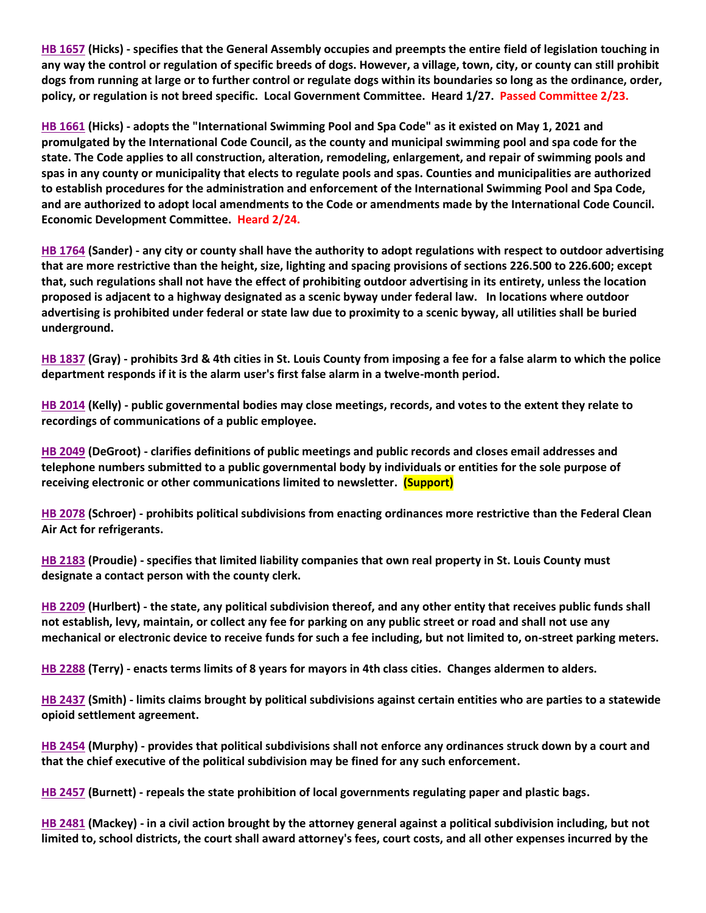**[HB 1657](https://house.mo.gov/Bill.aspx?bill=HB1657&year=2022&code=R) (Hicks) - specifies that the General Assembly occupies and preempts the entire field of legislation touching in any way the control or regulation of specific breeds of dogs. However, a village, town, city, or county can still prohibit dogs from running at large or to further control or regulate dogs within its boundaries so long as the ordinance, order, policy, or regulation is not breed specific. Local Government Committee. Heard 1/27. Passed Committee 2/23.**

**[HB 1661](https://house.mo.gov/Bill.aspx?bill=HB1661&year=2022&code=R) (Hicks) - adopts the "International Swimming Pool and Spa Code" as it existed on May 1, 2021 and promulgated by the International Code Council, as the county and municipal swimming pool and spa code for the state. The Code applies to all construction, alteration, remodeling, enlargement, and repair of swimming pools and spas in any county or municipality that elects to regulate pools and spas. Counties and municipalities are authorized to establish procedures for the administration and enforcement of the International Swimming Pool and Spa Code, and are authorized to adopt local amendments to the Code or amendments made by the International Code Council. Economic Development Committee. Heard 2/24.**

**[HB 1764](https://house.mo.gov/Bill.aspx?bill=HB1764&year=2022&code=R) (Sander) - any city or county shall have the authority to adopt regulations with respect to outdoor advertising that are more restrictive than the height, size, lighting and spacing provisions of sections 226.500 to 226.600; except that, such regulations shall not have the effect of prohibiting outdoor advertising in its entirety, unless the location proposed is adjacent to a highway designated as a scenic byway under federal law. In locations where outdoor advertising is prohibited under federal or state law due to proximity to a scenic byway, all utilities shall be buried underground.**

**[HB 1837](https://house.mo.gov/Bill.aspx?bill=HB1837&year=2022&code=R) (Gray) - prohibits 3rd & 4th cities in St. Louis County from imposing a fee for a false alarm to which the police department responds if it is the alarm user's first false alarm in a twelve-month period.**

**[HB 2014](https://house.mo.gov/Bill.aspx?bill=HB2014&year=2022&code=R) (Kelly) - public governmental bodies may close meetings, records, and votes to the extent they relate to recordings of communications of a public employee.**

**[HB 2049](https://house.mo.gov/Bill.aspx?bill=HB2049&year=2022&code=R) (DeGroot) - clarifies definitions of public meetings and public records and closes email addresses and telephone numbers submitted to a public governmental body by individuals or entities for the sole purpose of receiving electronic or other communications limited to newsletter. (Support)**

**[HB 2078](https://www.house.mo.gov/Bill.aspx?bill=HB2078&year=2022&code=R) (Schroer) - prohibits political subdivisions from enacting ordinances more restrictive than the Federal Clean Air Act for refrigerants.**

**[HB 2183](https://house.mo.gov/Bill.aspx?bill=HB2183&year=2022&code=R) (Proudie) - specifies that limited liability companies that own real property in St. Louis County must designate a contact person with the county clerk.**

**[HB 2209](https://house.mo.gov/Bill.aspx?bill=HB2209&year=2022&code=R) (Hurlbert) - the state, any political subdivision thereof, and any other entity that receives public funds shall not establish, levy, maintain, or collect any fee for parking on any public street or road and shall not use any mechanical or electronic device to receive funds for such a fee including, but not limited to, on-street parking meters.**

**[HB 2288](https://www.house.mo.gov/Bill.aspx?bill=HB2288&year=2022&code=R) (Terry) - enacts terms limits of 8 years for mayors in 4th class cities. Changes aldermen to alders.**

**[HB 2437](https://house.mo.gov/Bill.aspx?bill=HB2437&year=2022&code=R) (Smith) - limits claims brought by political subdivisions against certain entities who are parties to a statewide opioid settlement agreement.**

**[HB 2454](https://house.mo.gov/Bill.aspx?bill=HB2454&year=2022&code=R) (Murphy) - provides that political subdivisions shall not enforce any ordinances struck down by a court and that the chief executive of the political subdivision may be fined for any such enforcement.**

**[HB 2457](https://house.mo.gov/Bill.aspx?bill=HB2457&year=2022&code=R) (Burnett) - repeals the state prohibition of local governments regulating paper and plastic bags.**

**[HB 2481](https://house.mo.gov/Bill.aspx?bill=HB2481&year=2022&code=R) (Mackey) - in a civil action brought by the attorney general against a political subdivision including, but not limited to, school districts, the court shall award attorney's fees, court costs, and all other expenses incurred by the**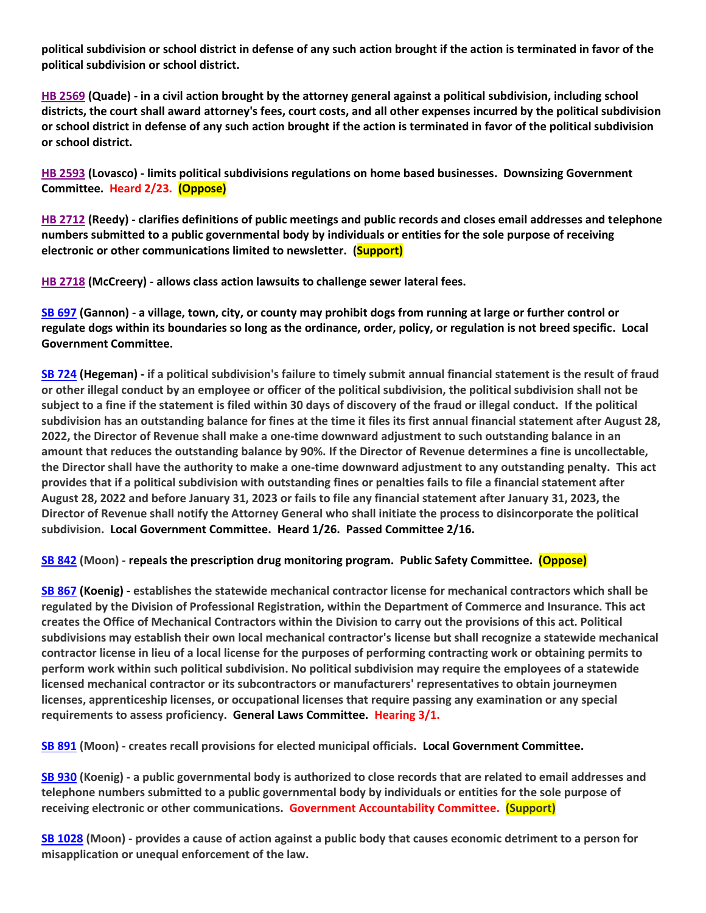**political subdivision or school district in defense of any such action brought if the action is terminated in favor of the political subdivision or school district.**

**[HB 2569](https://www.house.mo.gov/Bill.aspx?bill=HB2569&year=2022&code=R) (Quade) - in a civil action brought by the attorney general against a political subdivision, including school districts, the court shall award attorney's fees, court costs, and all other expenses incurred by the political subdivision or school district in defense of any such action brought if the action is terminated in favor of the political subdivision or school district.**

**[HB 2593](https://www.house.mo.gov/Bill.aspx?bill=HB2593&year=2022&code=R) (Lovasco) - limits political subdivisions regulations on home based businesses. Downsizing Government Committee. Heard 2/23. (Oppose)**

**[HB 2712](https://www.house.mo.gov/Bill.aspx?bill=HB2712&year=2022&code=R) (Reedy) - clarifies definitions of public meetings and public records and closes email addresses and telephone numbers submitted to a public governmental body by individuals or entities for the sole purpose of receiving electronic or other communications limited to newsletter. (Support)**

**[HB 2718](https://www.house.mo.gov/Bill.aspx?bill=HB2718&year=2022&code=R) (McCreery) - allows class action lawsuits to challenge sewer lateral fees.**

**[SB 697](https://www.senate.mo.gov/22info/BTS_Web/Bill.aspx?SessionType=R&BillID=71259741) (Gannon) - a village, town, city, or county may prohibit dogs from running at large or further control or regulate dogs within its boundaries so long as the ordinance, order, policy, or regulation is not breed specific. Local Government Committee.**

**[SB 724](https://www.senate.mo.gov/22info/BTS_Web/Bill.aspx?SessionType=R&BillID=71259818) (Hegeman) - if a political subdivision's failure to timely submit annual financial statement is the result of fraud or other illegal conduct by an employee or officer of the political subdivision, the political subdivision shall not be subject to a fine if the statement is filed within 30 days of discovery of the fraud or illegal conduct. If the political subdivision has an outstanding balance for fines at the time it files its first annual financial statement after August 28, 2022, the Director of Revenue shall make a one-time downward adjustment to such outstanding balance in an amount that reduces the outstanding balance by 90%. If the Director of Revenue determines a fine is uncollectable, the Director shall have the authority to make a one-time downward adjustment to any outstanding penalty. This act provides that if a political subdivision with outstanding fines or penalties fails to file a financial statement after August 28, 2022 and before January 31, 2023 or fails to file any financial statement after January 31, 2023, the Director of Revenue shall notify the Attorney General who shall initiate the process to disincorporate the political subdivision. Local Government Committee. Heard 1/26. Passed Committee 2/16.**

**[SB 842](https://www.senate.mo.gov/22info/BTS_Web/Bill.aspx?SessionType=R&BillID=71259877) (Moon) - repeals the prescription drug monitoring program. Public Safety Committee. (Oppose)**

**[SB 867](https://www.senate.mo.gov/22info/BTS_Web/Bill.aspx?SessionType=R&BillID=71259909) (Koenig) - establishes the statewide mechanical contractor license for mechanical contractors which shall be regulated by the Division of Professional Registration, within the Department of Commerce and Insurance. This act creates the Office of Mechanical Contractors within the Division to carry out the provisions of this act. Political subdivisions may establish their own local mechanical contractor's license but shall recognize a statewide mechanical contractor license in lieu of a local license for the purposes of performing contracting work or obtaining permits to perform work within such political subdivision. No political subdivision may require the employees of a statewide licensed mechanical contractor or its subcontractors or manufacturers' representatives to obtain journeymen licenses, apprenticeship licenses, or occupational licenses that require passing any examination or any special requirements to assess proficiency. General Laws Committee. Hearing 3/1.**

**[SB 891](https://www.senate.mo.gov/22info/BTS_Web/Bill.aspx?SessionType=R&BillID=71259885) (Moon) - creates recall provisions for elected municipal officials. Local Government Committee.**

**[SB 930](https://www.senate.mo.gov/22info/BTS_Web/Bill.aspx?SessionType=R&BillID=71259916) (Koenig) - a public governmental body is authorized to close records that are related to email addresses and telephone numbers submitted to a public governmental body by individuals or entities for the sole purpose of receiving electronic or other communications. Government Accountability Committee. (Support)**

**[SB 1028](https://www.senate.mo.gov/22info/BTS_Web/Bill.aspx?SessionType=R&BillID=72748795) (Moon) - provides a cause of action against a public body that causes economic detriment to a person for misapplication or unequal enforcement of the law.**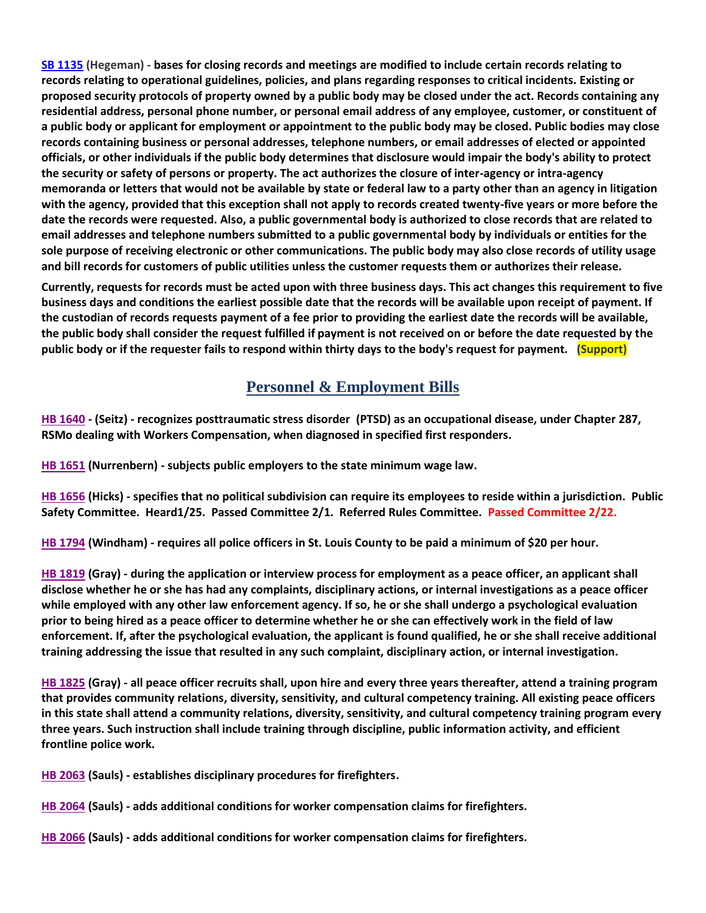**[SB 1135](https://www.senate.mo.gov/22info/BTS_Web/Bill.aspx?SessionType=R&BillID=75554857) (Hegeman) - bases for closing records and meetings are modified to include certain records relating to records relating to operational guidelines, policies, and plans regarding responses to critical incidents. Existing or proposed security protocols of property owned by a public body may be closed under the act. Records containing any residential address, personal phone number, or personal email address of any employee, customer, or constituent of a public body or applicant for employment or appointment to the public body may be closed. Public bodies may close records containing business or personal addresses, telephone numbers, or email addresses of elected or appointed officials, or other individuals if the public body determines that disclosure would impair the body's ability to protect the security or safety of persons or property. The act authorizes the closure of inter-agency or intra-agency memoranda or letters that would not be available by state or federal law to a party other than an agency in litigation with the agency, provided that this exception shall not apply to records created twenty-five years or more before the date the records were requested. Also, a public governmental body is authorized to close records that are related to email addresses and telephone numbers submitted to a public governmental body by individuals or entities for the sole purpose of receiving electronic or other communications. The public body may also close records of utility usage and bill records for customers of public utilities unless the customer requests them or authorizes their release.**

**Currently, requests for records must be acted upon with three business days. This act changes this requirement to five business days and conditions the earliest possible date that the records will be available upon receipt of payment. If the custodian of records requests payment of a fee prior to providing the earliest date the records will be available, the public body shall consider the request fulfilled if payment is not received on or before the date requested by the public body or if the requester fails to respond within thirty days to the body's request for payment. (Support)**

## **Personnel & Employment Bills**

**[HB 1640](https://house.mo.gov/Bill.aspx?bill=HB1640&year=2022&code=R) - (Seitz) - recognizes posttraumatic stress disorder (PTSD) as an occupational disease, under Chapter 287, RSMo dealing with Workers Compensation, when diagnosed in specified first responders.**

**[HB 1651](https://house.mo.gov/Bill.aspx?bill=HB1651&year=2022&code=R) (Nurrenbern) - subjects public employers to the state minimum wage law.**

**[HB 1656](https://house.mo.gov/Bill.aspx?bill=HB1656&year=2022&code=R) (Hicks) - specifies that no political subdivision can require its employees to reside within a jurisdiction. Public Safety Committee. Heard1/25. Passed Committee 2/1. Referred Rules Committee. Passed Committee 2/22.**

**[HB 1794](https://house.mo.gov/Bill.aspx?bill=HB1794&year=2022&code=R) (Windham) - requires all police officers in St. Louis County to be paid a minimum of \$20 per hour.**

**[HB 1819](https://house.mo.gov/Bill.aspx?bill=HB1819&year=2022&code=R) (Gray) - during the application or interview process for employment as a peace officer, an applicant shall disclose whether he or she has had any complaints, disciplinary actions, or internal investigations as a peace officer while employed with any other law enforcement agency. If so, he or she shall undergo a psychological evaluation prior to being hired as a peace officer to determine whether he or she can effectively work in the field of law enforcement. If, after the psychological evaluation, the applicant is found qualified, he or she shall receive additional training addressing the issue that resulted in any such complaint, disciplinary action, or internal investigation.**

**[HB 1825](https://house.mo.gov/Bill.aspx?bill=HB1825&year=2022&code=R) (Gray) - all peace officer recruits shall, upon hire and every three years thereafter, attend a training program that provides community relations, diversity, sensitivity, and cultural competency training. All existing peace officers in this state shall attend a community relations, diversity, sensitivity, and cultural competency training program every three years. Such instruction shall include training through discipline, public information activity, and efficient frontline police work.**

**[HB 2063](https://house.mo.gov/Bill.aspx?bill=HB2063&year=2022&code=R) (Sauls) - establishes disciplinary procedures for firefighters.**

**[HB 2064](https://house.mo.gov/Bill.aspx?bill=HB2064&year=2022&code=R) (Sauls) - adds additional conditions for worker compensation claims for firefighters.** 

**[HB 2066](https://house.mo.gov/Bill.aspx?bill=HB2066&year=2022&code=R) (Sauls) - adds additional conditions for worker compensation claims for firefighters.**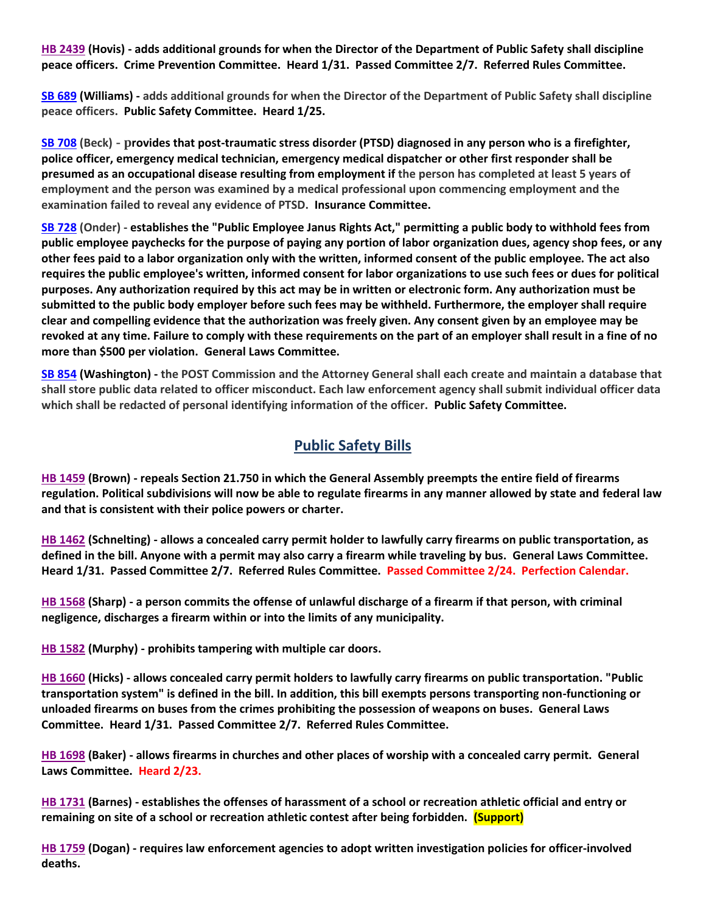**[HB 2439](https://house.mo.gov/Bill.aspx?bill=HB2439&year=2022&code=R) (Hovis) - adds additional grounds for when the Director of the Department of Public Safety shall discipline peace officers. Crime Prevention Committee. Heard 1/31. Passed Committee 2/7. Referred Rules Committee.**

**[SB 689](https://www.senate.mo.gov/22info/BTS_Web/Bill.aspx?SessionType=R&BillID=71259715) (Williams) - adds additional grounds for when the Director of the Department of Public Safety shall discipline peace officers. Public Safety Committee. Heard 1/25.**

**[SB 708](https://www.senate.mo.gov/22info/BTS_Web/Bill.aspx?SessionType=R&BillID=71259735) (Beck) - provides that post-traumatic stress disorder (PTSD) diagnosed in any person who is a firefighter, police officer, emergency medical technician, emergency medical dispatcher or other first responder shall be presumed as an occupational disease resulting from employment if the person has completed at least 5 years of employment and the person was examined by a medical professional upon commencing employment and the examination failed to reveal any evidence of PTSD. Insurance Committee.**

**[SB 728](https://www.senate.mo.gov/22info/BTS_Web/Bill.aspx?SessionType=R&BillID=71259712) (Onder) - establishes the "Public Employee Janus Rights Act," permitting a public body to withhold fees from public employee paychecks for the purpose of paying any portion of labor organization dues, agency shop fees, or any other fees paid to a labor organization only with the written, informed consent of the public employee. The act also requires the public employee's written, informed consent for labor organizations to use such fees or dues for political purposes. Any authorization required by this act may be in written or electronic form. Any authorization must be submitted to the public body employer before such fees may be withheld. Furthermore, the employer shall require clear and compelling evidence that the authorization was freely given. Any consent given by an employee may be revoked at any time. Failure to comply with these requirements on the part of an employer shall result in a fine of no more than \$500 per violation. General Laws Committee.**

**[SB 854](https://www.senate.mo.gov/22info/BTS_Web/Bill.aspx?SessionType=R&BillID=71259653) (Washington) - the POST Commission and the Attorney General shall each create and maintain a database that shall store public data related to officer misconduct. Each law enforcement agency shall submit individual officer data which shall be redacted of personal identifying information of the officer. Public Safety Committee.**

### **Public Safety Bills**

**[HB 1459](https://house.mo.gov/Bill.aspx?bill=HB1459&year=2022&code=R) (Brown) - repeals Section 21.750 in which the General Assembly preempts the entire field of firearms regulation. Political subdivisions will now be able to regulate firearms in any manner allowed by state and federal law and that is consistent with their police powers or charter.**

**[HB 1462](https://house.mo.gov/Bill.aspx?bill=HB1462&year=2022&code=R) (Schnelting) - allows a concealed carry permit holder to lawfully carry firearms on public transportation, as defined in the bill. Anyone with a permit may also carry a firearm while traveling by bus. General Laws Committee. Heard 1/31. Passed Committee 2/7. Referred Rules Committee. Passed Committee 2/24. Perfection Calendar.**

**[HB 1568](https://house.mo.gov/Bill.aspx?bill=HB1568&year=2022&code=R) (Sharp) - a person commits the offense of unlawful discharge of a firearm if that person, with criminal negligence, discharges a firearm within or into the limits of any municipality.**

**[HB 1582](https://house.mo.gov/Bill.aspx?bill=HB1582&year=2022&code=R) (Murphy) - prohibits tampering with multiple car doors.**

**[HB 1660](https://house.mo.gov/Bill.aspx?bill=HB1660&year=2022&code=R) (Hicks) - allows concealed carry permit holders to lawfully carry firearms on public transportation. "Public transportation system" is defined in the bill. In addition, this bill exempts persons transporting non-functioning or unloaded firearms on buses from the crimes prohibiting the possession of weapons on buses. General Laws Committee. Heard 1/31. Passed Committee 2/7. Referred Rules Committee.**

**[HB 1698](https://house.mo.gov/Bill.aspx?bill=HB1698&year=2022&code=R) (Baker) - allows firearms in churches and other places of worship with a concealed carry permit. General Laws Committee. Heard 2/23.**

**[HB 1731](https://house.mo.gov/Bill.aspx?bill=HB1731&year=2022&code=R) (Barnes) - establishes the offenses of harassment of a school or recreation athletic official and entry or remaining on site of a school or recreation athletic contest after being forbidden. (Support)**

**[HB 1759](https://house.mo.gov/Bill.aspx?bill=HB1759&year=2022&code=R) (Dogan) - requires law enforcement agencies to adopt written investigation policies for officer-involved deaths.**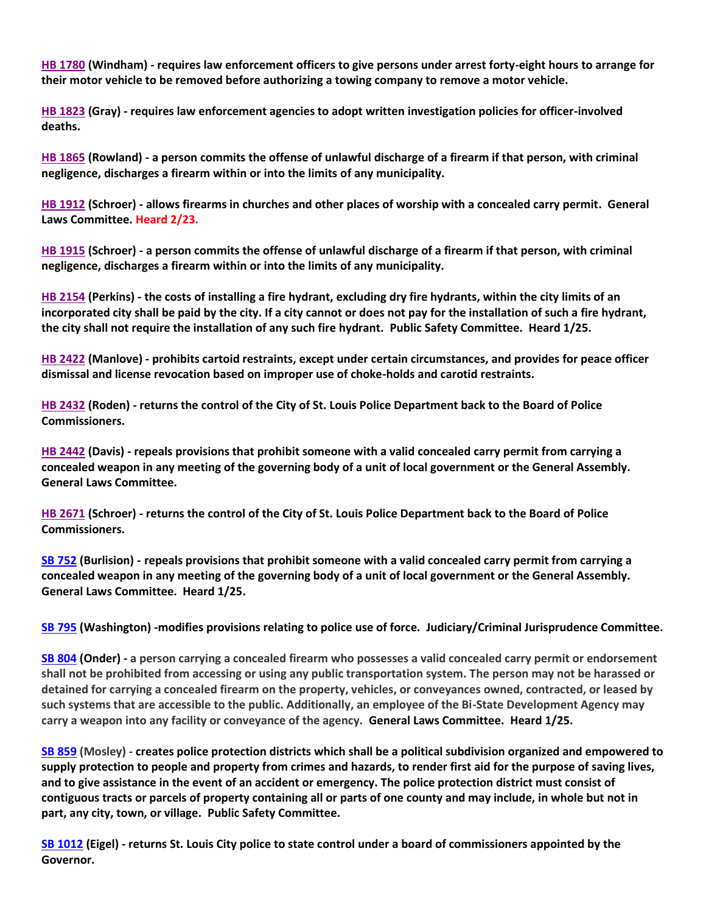**[HB 1780](https://house.mo.gov/Bill.aspx?bill=HB1780&year=2022&code=R) (Windham) - requires law enforcement officers to give persons under arrest forty-eight hours to arrange for their motor vehicle to be removed before authorizing a towing company to remove a motor vehicle.**

**[HB 1823](https://house.mo.gov/Bill.aspx?bill=HB1823&year=2022&code=R) (Gray) - requires law enforcement agencies to adopt written investigation policies for officer-involved deaths.**

**[HB 1865](https://house.mo.gov/Bill.aspx?bill=HB1865&year=2022&code=R) (Rowland) - a person commits the offense of unlawful discharge of a firearm if that person, with criminal negligence, discharges a firearm within or into the limits of any municipality.**

**[HB 1912](https://house.mo.gov/Bill.aspx?bill=HB1912&year=2022&code=R) (Schroer) - allows firearms in churches and other places of worship with a concealed carry permit. General Laws Committee. Heard 2/23.**

**[HB 1915](https://house.mo.gov/Bill.aspx?bill=HB1915&year=2022&code=R) (Schroer) - a person commits the offense of unlawful discharge of a firearm if that person, with criminal negligence, discharges a firearm within or into the limits of any municipality.**

**[HB 2154](https://house.mo.gov/Bill.aspx?bill=HB2154&year=2022&code=R) (Perkins) - the costs of installing a fire hydrant, excluding dry fire hydrants, within the city limits of an incorporated city shall be paid by the city. If a city cannot or does not pay for the installation of such a fire hydrant, the city shall not require the installation of any such fire hydrant. Public Safety Committee. Heard 1/25.**

**[HB 2422](https://house.mo.gov/Bill.aspx?bill=HB2422&year=2022&code=R) (Manlove) - prohibits cartoid restraints, except under certain circumstances, and provides for peace officer dismissal and license revocation based on improper use of choke-holds and carotid restraints.**

**[HB 2432](https://house.mo.gov/Bill.aspx?bill=HB2432&year=2022&code=R) (Roden) - returns the control of the City of St. Louis Police Department back to the Board of Police Commissioners.**

**[HB 2442](https://www.house.mo.gov/Bill.aspx?bill=HB2442&year=2022&code=R) (Davis) - repeals provisions that prohibit someone with a valid concealed carry permit from carrying a concealed weapon in any meeting of the governing body of a unit of local government or the General Assembly. General Laws Committee.** 

**[HB 2671](https://www.house.mo.gov/Bill.aspx?bill=HB2671&year=2022&code=R) (Schroer) - returns the control of the City of St. Louis Police Department back to the Board of Police Commissioners.**

**[SB 752](https://www.senate.mo.gov/22info/BTS_Web/Bill.aspx?SessionType=R&BillID=71259697) (Burlision) - repeals provisions that prohibit someone with a valid concealed carry permit from carrying a concealed weapon in any meeting of the governing body of a unit of local government or the General Assembly. General Laws Committee. Heard 1/25.**

**[SB 795](https://www.senate.mo.gov/22info/BTS_Web/Bill.aspx?SessionType=R&BillID=71259650) (Washington) -modifies provisions relating to police use of force. Judiciary/Criminal Jurisprudence Committee.**

**[SB 804](https://www.senate.mo.gov/22info/BTS_Web/Bill.aspx?SessionType=R&BillID=71263286) (Onder) - a person carrying a concealed firearm who possesses a valid concealed carry permit or endorsement shall not be prohibited from accessing or using any public transportation system. The person may not be harassed or detained for carrying a concealed firearm on the property, vehicles, or conveyances owned, contracted, or leased by such systems that are accessible to the public. Additionally, an employee of the Bi-State Development Agency may carry a weapon into any facility or conveyance of the agency. General Laws Committee. Heard 1/25.**

**[SB 859](https://www.senate.mo.gov/22info/BTS_Web/Bill.aspx?SessionType=R&BillID=71259622) (Mosley) - creates police protection districts which shall be a political subdivision organized and empowered to supply protection to people and property from crimes and hazards, to render first aid for the purpose of saving lives, and to give assistance in the event of an accident or emergency. The police protection district must consist of contiguous tracts or parcels of property containing all or parts of one county and may include, in whole but not in part, any city, town, or village. Public Safety Committee.**

**[SB 1012](https://www.senate.mo.gov/22info/BTS_Web/Bill.aspx?SessionType=R&BillID=72392417) (Eigel) - returns St. Louis City police to state control under a board of commissioners appointed by the Governor.**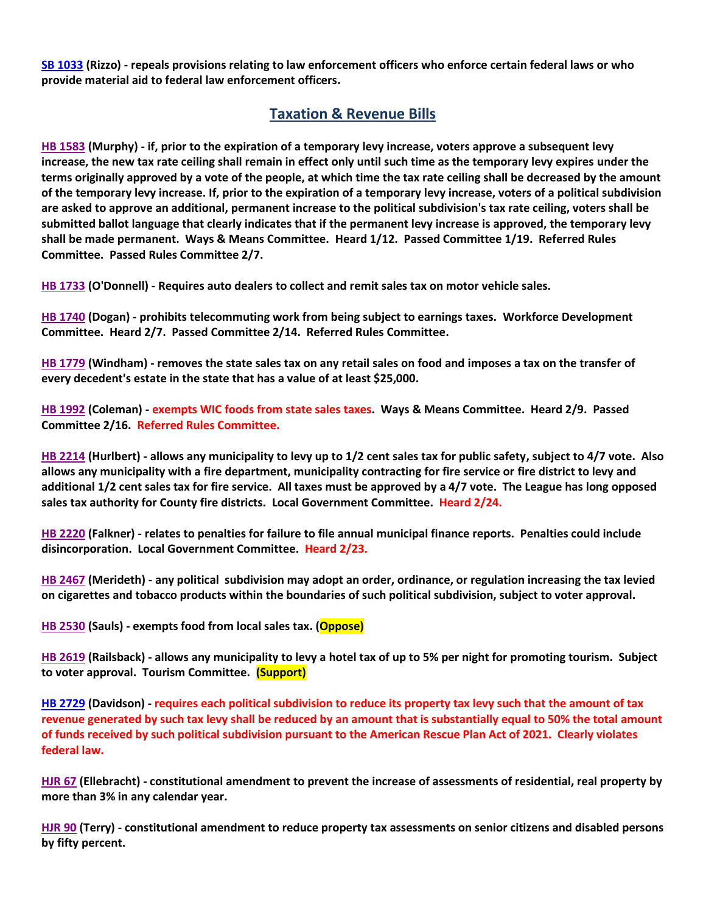**[SB 1033](https://www.senate.mo.gov/22info/BTS_Web/Bill.aspx?SessionType=R&BillID=72748800) (Rizzo) - repeals provisions relating to law enforcement officers who enforce certain federal laws or who provide material aid to federal law enforcement officers.**

#### **Taxation & Revenue Bills**

**[HB 1583](https://house.mo.gov/Bill.aspx?bill=HB1583&year=2022&code=R) (Murphy) - if, prior to the expiration of a temporary levy increase, voters approve a subsequent levy increase, the new tax rate ceiling shall remain in effect only until such time as the temporary levy expires under the terms originally approved by a vote of the people, at which time the tax rate ceiling shall be decreased by the amount of the temporary levy increase. If, prior to the expiration of a temporary levy increase, voters of a political subdivision are asked to approve an additional, permanent increase to the political subdivision's tax rate ceiling, voters shall be submitted ballot language that clearly indicates that if the permanent levy increase is approved, the temporary levy shall be made permanent. Ways & Means Committee. Heard 1/12. Passed Committee 1/19. Referred Rules Committee. Passed Rules Committee 2/7.**

**[HB 1733](https://house.mo.gov/Bill.aspx?bill=HB1733&year=2022&code=R) (O'Donnell) - Requires auto dealers to collect and remit sales tax on motor vehicle sales.**

**[HB 1740](https://house.mo.gov/Bill.aspx?bill=HB1740&year=2022&code=R) (Dogan) - prohibits telecommuting work from being subject to earnings taxes. Workforce Development Committee. Heard 2/7. Passed Committee 2/14. Referred Rules Committee.**

**[HB 1779](https://house.mo.gov/Bill.aspx?bill=HB1779&year=2022&code=R) (Windham) - removes the state sales tax on any retail sales on food and imposes a tax on the transfer of every decedent's estate in the state that has a value of at least \$25,000.**

**[HB 1992](https://house.mo.gov/Bill.aspx?bill=HB1992&year=2022&code=R) (Coleman) - exempts WIC foods from state sales taxes. Ways & Means Committee. Heard 2/9. Passed Committee 2/16. Referred Rules Committee.**

**[HB 2214](https://house.mo.gov/Bill.aspx?bill=HB2214&year=2022&code=R) (Hurlbert) - allows any municipality to levy up to 1/2 cent sales tax for public safety, subject to 4/7 vote. Also allows any municipality with a fire department, municipality contracting for fire service or fire district to levy and additional 1/2 cent sales tax for fire service. All taxes must be approved by a 4/7 vote. The League has long opposed sales tax authority for County fire districts. Local Government Committee. Heard 2/24.**

**[HB 2220](https://house.mo.gov/Bill.aspx?bill=HB2220&year=2022&code=R) (Falkner) - relates to penalties for failure to file annual municipal finance reports. Penalties could include disincorporation. Local Government Committee. Heard 2/23.**

**[HB 2467](https://house.mo.gov/Bill.aspx?bill=HB2467&year=2022&code=R) (Merideth) - any political subdivision may adopt an order, ordinance, or regulation increasing the tax levied on cigarettes and tobacco products within the boundaries of such political subdivision, subject to voter approval.**

**[HB 2530](https://www.house.mo.gov/Bill.aspx?bill=HB2530&year=2022&code=R) (Sauls) - exempts food from local sales tax. (Oppose)**

**[HB 2619](https://www.house.mo.gov/Bill.aspx?bill=HB2619&year=2022&code=R) (Railsback) - allows any municipality to levy a hotel tax of up to 5% per night for promoting tourism. Subject to voter approval. Tourism Committee. (Support)**

**[HB 2729](https://www.house.mo.gov/Bill.aspx?bill=HB2729&year=2022&code=R) (Davidson) - requires each political subdivision to reduce its property tax levy such that the amount of tax revenue generated by such tax levy shall be reduced by an amount that is substantially equal to 50% the total amount of funds received by such political subdivision pursuant to the American Rescue Plan Act of 2021. Clearly violates federal law.** 

**[HJR 67](https://house.mo.gov/Bill.aspx?bill=HJR67&year=2022&code=R) (Ellebracht) - constitutional amendment to prevent the increase of assessments of residential, real property by more than 3% in any calendar year.**

**[HJR 90](https://house.mo.gov/Bill.aspx?bill=HJR90&year=2022&code=R) (Terry) - constitutional amendment to reduce property tax assessments on senior citizens and disabled persons by fifty percent.**